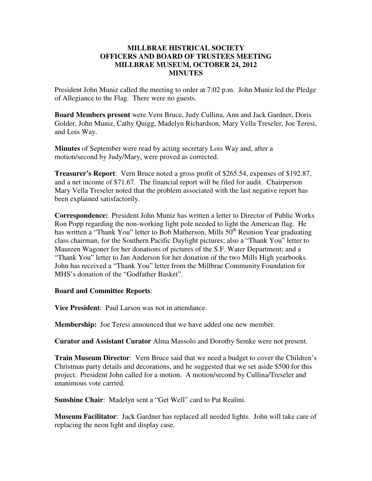## **MILLBRAE HISTRICAL SOCIETY OFFICERS AND BOARD OF TRUSTEES MEETING MILLBRAE MUSEUM, OCTOBER 24, 2012 MINUTES**

President John Muniz called the meeting to order at 7:02 p.m. John Muniz led the Pledge of Allegiance to the Flag. There were no guests.

**Board Members present** were Vern Bruce, Judy Cullina, Ann and Jack Gardner, Doris Golder, John Muniz, Cathy Quigg, Madelyn Richardson, Mary Vella Treseler, Joe Teresi, and Lois Way.

**Minutes** of September were read by acting secretary Lois Way and, after a motion/second by Judy/Mary, were proved as corrected.

**Treasurer's Report**: Vern Bruce noted a gross profit of \$265.54, expenses of \$192.87, and a net income of \$71.67. The financial report will be filed for audit. Chairperson Mary Vella Treseler noted that the problem associated with the last negative report has been explained satisfactorily.

**Correspondence:** President John Muniz has written a letter to Director of Public Works Ron Popp regarding the non-working light pole needed to light the American flag. He has written a "Thank You" letter to Bob Matherson, Mills 50<sup>th</sup> Reunion Year graduating class chairman, for the Southern Pacific Daylight pictures; also a "Thank You" letter to Maureen Wagoner for her donations of pictures of the S.F. Water Department; and a "Thank You" letter to Jan Anderson for her donation of the two Mills High yearbooks. John has received a "Thank You" letter from the Millbrae Community Foundation for MHS's donation of the "Godfather Basket".

## **Board and Committee Reports**:

**Vice President**: Paul Larson was not in attendance.

**Membership:** Joe Teresi announced that we have added one new member.

**Curator and Assistant Curator** Alma Massolo and Dorothy Semke were not present.

**Train Museum Director**: Vern Bruce said that we need a budget to cover the Children's Christmas party details and decorations, and he suggested that we set aside \$500 for this project. President John called for a motion. A motion/second by Cullina/Treseler and unanimous vote carried.

**Sunshine Chair**: Madelyn sent a "Get Well" card to Pat Realini.

**Museum Facilitator**: Jack Gardner has replaced all needed lights. John will take care of replacing the neon light and display case.